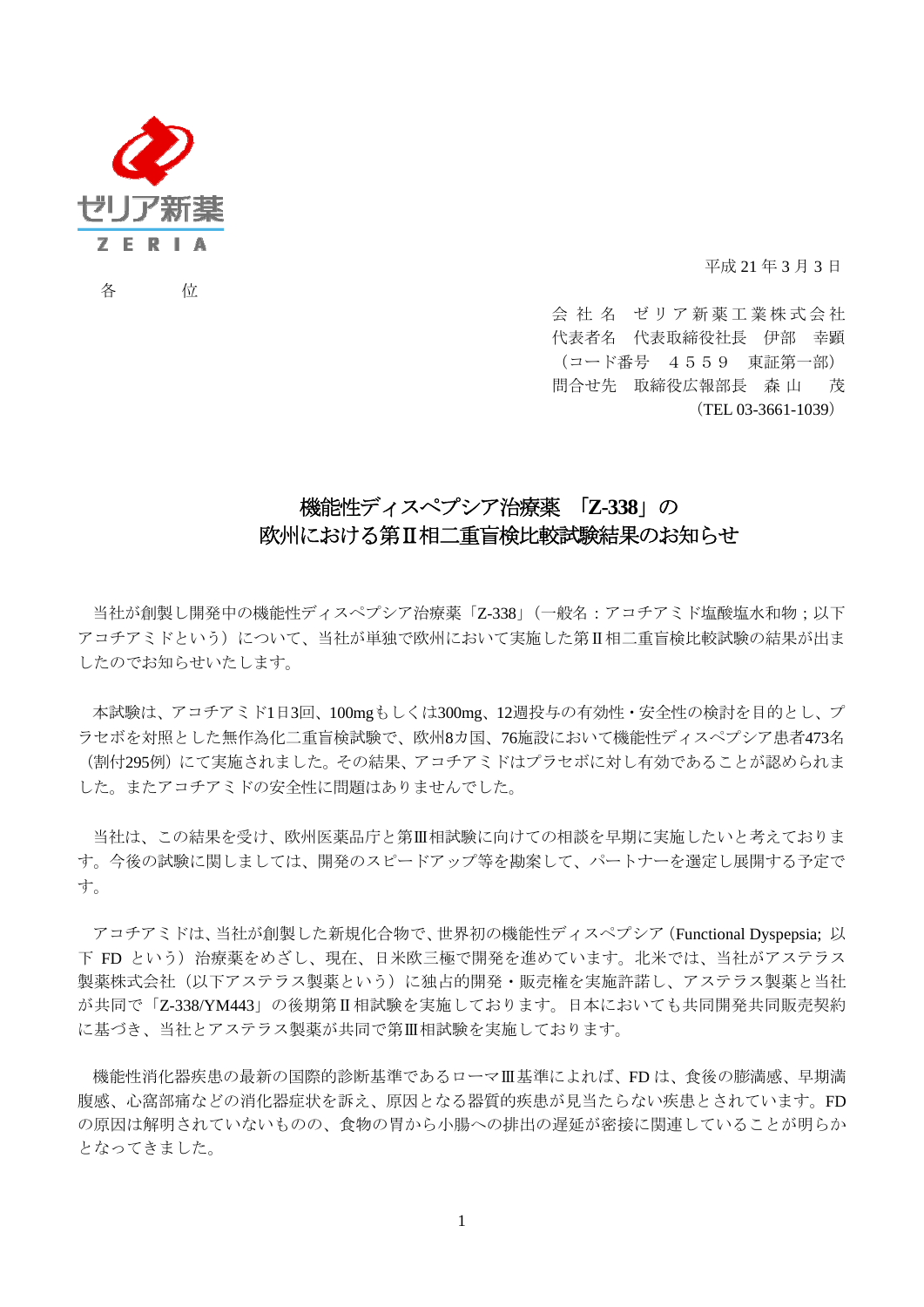

各 位

平成 21 年 3 月 3 日

会社名 ゼリア新薬工業株式会社 代表者名 代表取締役社長 伊部 幸顕 (コード番号 4559 東証第一部) 問合せ先 取締役広報部長 森 山 茂 (TEL 03-3661-1039)

## 機能性ディスペプシア治療薬 「**Z-338**」の 欧州における第Ⅱ相二重盲検比較試験結果のお知らせ

当社が創製し開発中の機能性ディスペプシア治療薬「Z-338」(一般名:アコチアミド塩酸塩水和物;以下 アコチアミドという)について、当社が単独で欧州において実施した第Ⅱ相二重盲検比較試験の結果が出ま したのでお知らせいたします。

本試験は、アコチアミド1日3回、100mgもしくは300mg、12週投与の有効性・安全性の検討を目的とし、プ ラセボを対照とした無作為化二重盲検試験で、欧州8カ国、76施設において機能性ディスペプシア患者473名 (割付295例)にて実施されました。その結果、アコチアミドはプラセボに対し有効であることが認められま した。またアコチアミドの安全性に問題はありませんでした。

当社は、この結果を受け、欧州医薬品庁と第Ⅲ相試験に向けての相談を早期に実施したいと考えておりま す。今後の試験に関しましては、開発のスピードアップ等を勘案して、パートナーを選定し展開する予定で す。

アコチアミドは、当社が創製した新規化合物で、世界初の機能性ディスペプシア(Functional Dyspepsia; 以 下 FD という)治療薬をめざし、現在、日米欧三極で開発を進めています。北米では、当社がアステラス 製薬株式会社(以下アステラス製薬という)に独占的開発・販売権を実施許諾し、アステラス製薬と当社 が共同で「Z-338/YM443」の後期第Ⅱ相試験を実施しております。日本においても共同開発共同販売契約 に基づき、当社とアステラス製薬が共同で第Ⅲ相試験を実施しております。

機能性消化器疾患の最新の国際的診断基準であるローマⅢ基準によれば、FD は、食後の膨満感、早期満 腹感、心窩部痛などの消化器症状を訴え、原因となる器質的疾患が見当たらない疾患とされています。FD の原因は解明されていないものの、食物の胃から小腸への排出の遅延が密接に関連していることが明らか となってきました。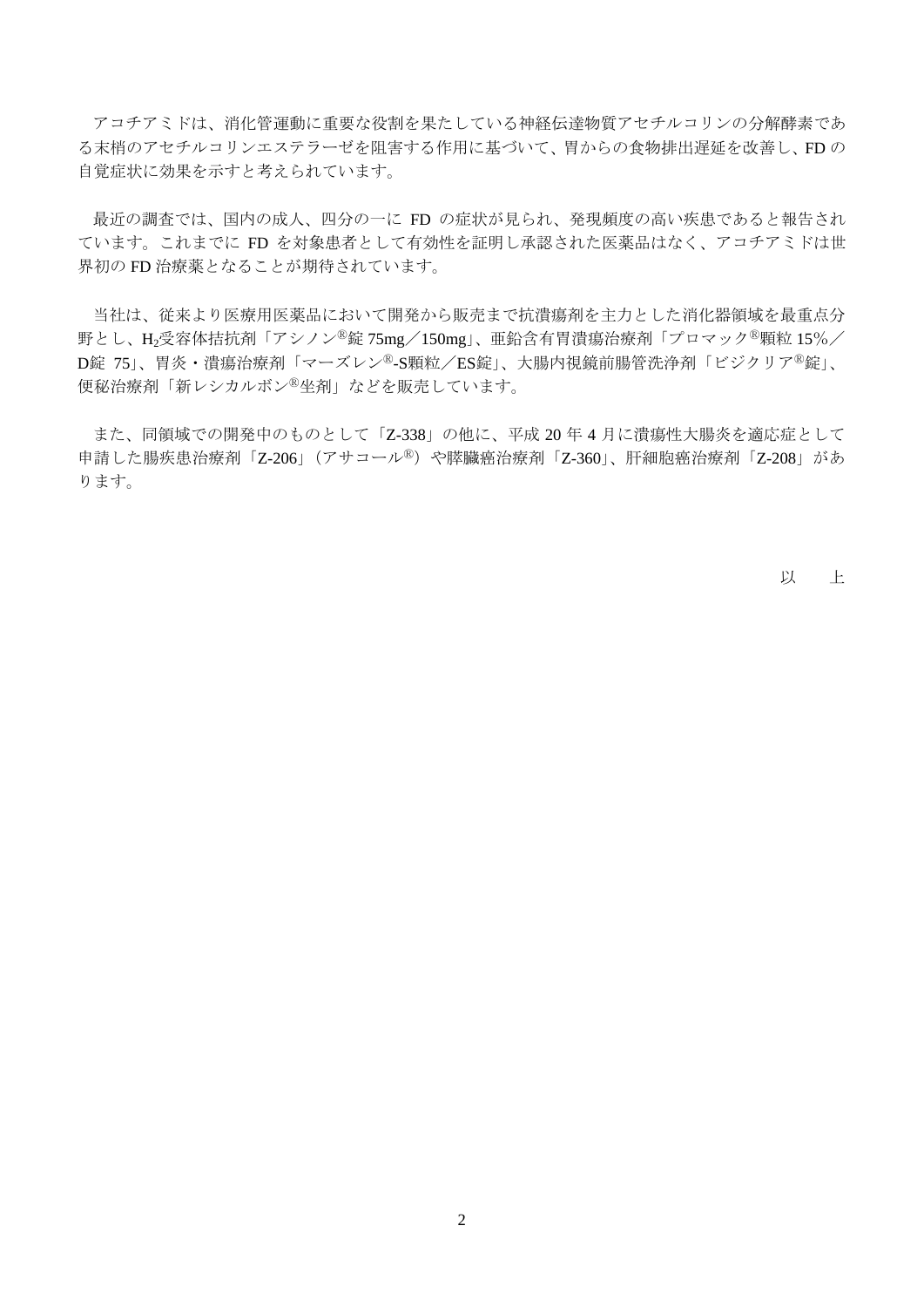アコチアミドは、消化管運動に重要な役割を果たしている神経伝達物質アセチルコリンの分解酵素であ る末梢のアセチルコリンエステラーゼを阻害する作用に基づいて、胃からの食物排出遅延を改善し、FD の 自覚症状に効果を示すと考えられています。

最近の調査では、国内の成人、四分の一に FD の症状が見られ、発現頻度の高い疾患であると報告され ています。これまでに FD を対象患者として有効性を証明し承認された医薬品はなく、アコチアミドは世 界初の FD 治療薬となることが期待されています。

当社は、従来より医療用医薬品において開発から販売まで抗潰瘍剤を主力とした消化器領域を最重点分 野とし、H<sub>2</sub>受容体拮抗剤「アシノン<sup>®</sup>錠 75mg/150mg」、亜鉛含有胃潰瘍治療剤「プロマック<sup>®</sup>顆粒 15%/ D錠 75」、胃炎・潰瘍治療剤「マーズレン<sup>®</sup>-S顆粒/ES錠」、大腸内視鏡前腸管洗浄剤「ビジクリア<sup>®</sup>錠」、 便秘治療剤「新レシカルボンⓇ坐剤」などを販売しています。

また、同領域での開発中のものとして「Z-338」の他に、平成 20 年 4 月に潰瘍性大腸炎を適応症として 申請した腸疾患治療剤「Z-206」(アサコール<sup>®</sup>)や膵臓癌治療剤「Z-360」、肝細胞癌治療剤「Z-208」があ ります。

以 上